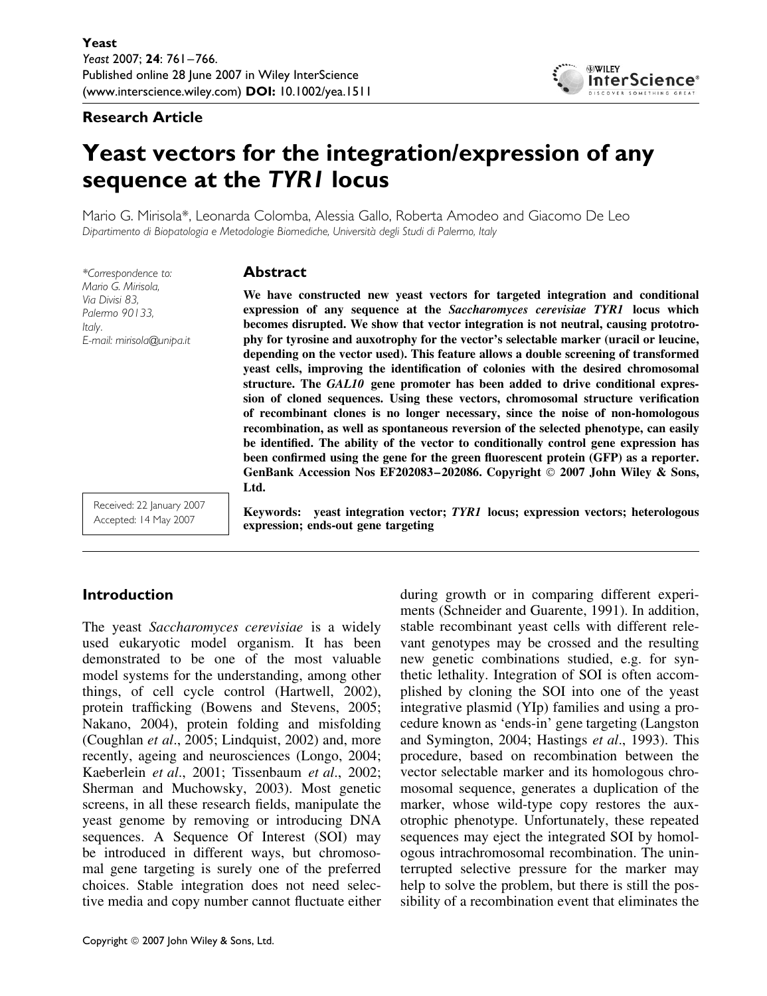#### **Research Article**



# **Yeast vectors for the integration/expression of any sequence at the** *TYR1* **locus**

Mario G. Mirisola\*, Leonarda Colomba, Alessia Gallo, Roberta Amodeo and Giacomo De Leo *Dipartimento di Biopatologia e Metodologie Biomediche, Universita degli Studi di Palermo, Italy `*

*\*Correspondence to: Mario G. Mirisola, Via Divisi 83, Palermo 90133, Italy. E-mail: mirisola@unipa.it*

#### **Abstract**

**We have constructed new yeast vectors for targeted integration and conditional expression of any sequence at the** *Saccharomyces cerevisiae TYR1* **locus which becomes disrupted. We show that vector integration is not neutral, causing prototrophy for tyrosine and auxotrophy for the vector's selectable marker (uracil or leucine, depending on the vector used). This feature allows a double screening of transformed yeast cells, improving the identification of colonies with the desired chromosomal structure. The** *GAL10* **gene promoter has been added to drive conditional expression of cloned sequences. Using these vectors, chromosomal structure verification of recombinant clones is no longer necessary, since the noise of non-homologous recombination, as well as spontaneous reversion of the selected phenotype, can easily be identified. The ability of the vector to conditionally control gene expression has been confirmed using the gene for the green fluorescent protein (GFP) as a reporter. GenBank Accession Nos EF202083–202086. Copyright 2007 John Wiley & Sons, Ltd.**

Received: 22 January 2007 Accepted: 14 May 2007

# **expression; ends-out gene targeting**

**Keywords: yeast integration vector;** *TYR1* **locus; expression vectors; heterologous**

# **Introduction**

The yeast *Saccharomyces cerevisiae* is a widely used eukaryotic model organism. It has been demonstrated to be one of the most valuable model systems for the understanding, among other things, of cell cycle control (Hartwell, 2002), protein trafficking (Bowens and Stevens, 2005; Nakano, 2004), protein folding and misfolding (Coughlan *et al*., 2005; Lindquist, 2002) and, more recently, ageing and neurosciences (Longo, 2004; Kaeberlein *et al*., 2001; Tissenbaum *et al*., 2002; Sherman and Muchowsky, 2003). Most genetic screens, in all these research fields, manipulate the yeast genome by removing or introducing DNA sequences. A Sequence Of Interest (SOI) may be introduced in different ways, but chromosomal gene targeting is surely one of the preferred choices. Stable integration does not need selective media and copy number cannot fluctuate either during growth or in comparing different experiments (Schneider and Guarente, 1991). In addition, stable recombinant yeast cells with different relevant genotypes may be crossed and the resulting new genetic combinations studied, e.g. for synthetic lethality. Integration of SOI is often accomplished by cloning the SOI into one of the yeast integrative plasmid (YIp) families and using a procedure known as 'ends-in' gene targeting (Langston and Symington, 2004; Hastings *et al*., 1993). This procedure, based on recombination between the vector selectable marker and its homologous chromosomal sequence, generates a duplication of the marker, whose wild-type copy restores the auxotrophic phenotype. Unfortunately, these repeated sequences may eject the integrated SOI by homologous intrachromosomal recombination. The uninterrupted selective pressure for the marker may help to solve the problem, but there is still the possibility of a recombination event that eliminates the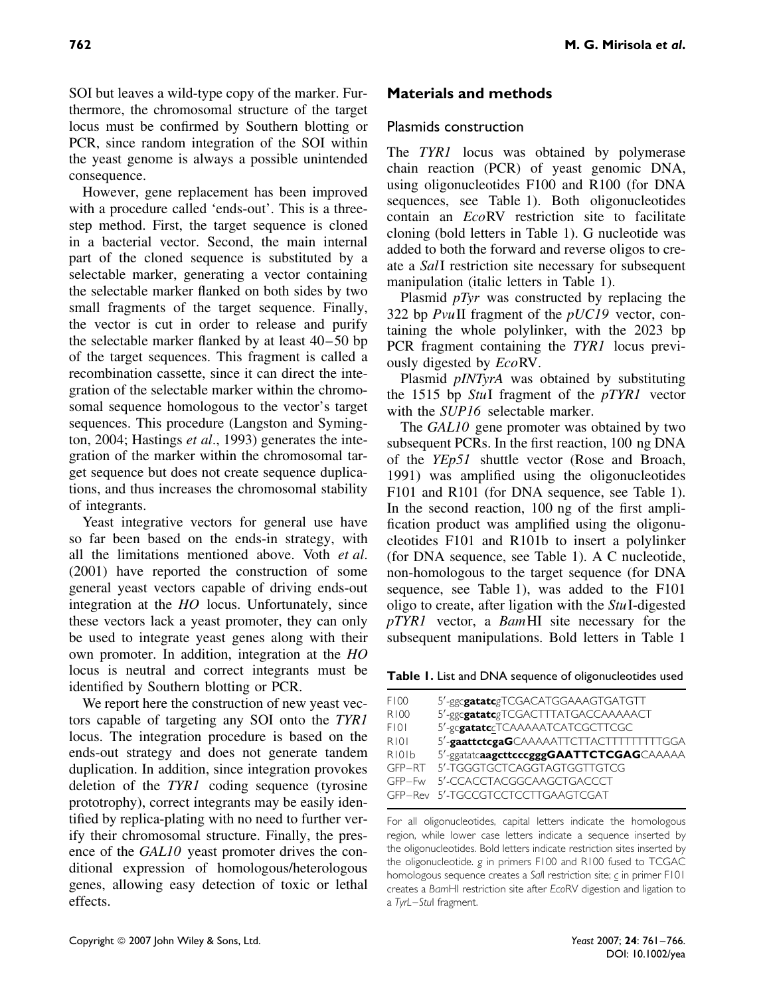SOI but leaves a wild-type copy of the marker. Furthermore, the chromosomal structure of the target locus must be confirmed by Southern blotting or PCR, since random integration of the SOI within the yeast genome is always a possible unintended consequence.

However, gene replacement has been improved with a procedure called 'ends-out'. This is a threestep method. First, the target sequence is cloned in a bacterial vector. Second, the main internal part of the cloned sequence is substituted by a selectable marker, generating a vector containing the selectable marker flanked on both sides by two small fragments of the target sequence. Finally, the vector is cut in order to release and purify the selectable marker flanked by at least 40–50 bp of the target sequences. This fragment is called a recombination cassette, since it can direct the integration of the selectable marker within the chromosomal sequence homologous to the vector's target sequences. This procedure (Langston and Symington, 2004; Hastings *et al*., 1993) generates the integration of the marker within the chromosomal target sequence but does not create sequence duplications, and thus increases the chromosomal stability of integrants.

Yeast integrative vectors for general use have so far been based on the ends-in strategy, with all the limitations mentioned above. Voth *et al*. (2001) have reported the construction of some general yeast vectors capable of driving ends-out integration at the *HO* locus. Unfortunately, since these vectors lack a yeast promoter, they can only be used to integrate yeast genes along with their own promoter. In addition, integration at the *HO* locus is neutral and correct integrants must be identified by Southern blotting or PCR.

We report here the construction of new yeast vectors capable of targeting any SOI onto the *TYR1* locus. The integration procedure is based on the ends-out strategy and does not generate tandem duplication. In addition, since integration provokes deletion of the *TYR1* coding sequence (tyrosine prototrophy), correct integrants may be easily identified by replica-plating with no need to further verify their chromosomal structure. Finally, the presence of the *GAL10* yeast promoter drives the conditional expression of homologous/heterologous genes, allowing easy detection of toxic or lethal effects.

## **Materials and methods**

#### Plasmids construction

The *TYR1* locus was obtained by polymerase chain reaction (PCR) of yeast genomic DNA, using oligonucleotides F100 and R100 (for DNA sequences, see Table 1). Both oligonucleotides contain an *Eco*RV restriction site to facilitate cloning (bold letters in Table 1). G nucleotide was added to both the forward and reverse oligos to create a *Sal*I restriction site necessary for subsequent manipulation (italic letters in Table 1).

Plasmid *pTyr* was constructed by replacing the 322 bp *Pvu*II fragment of the *pUC19* vector, containing the whole polylinker, with the 2023 bp PCR fragment containing the *TYR1* locus previously digested by *Eco*RV.

Plasmid *pINTyrA* was obtained by substituting the 1515 bp *Stu*I fragment of the *pTYR1* vector with the *SUP16* selectable marker.

The *GAL10* gene promoter was obtained by two subsequent PCRs. In the first reaction, 100 ng DNA of the *YEp51* shuttle vector (Rose and Broach, 1991) was amplified using the oligonucleotides F101 and R101 (for DNA sequence, see Table 1). In the second reaction, 100 ng of the first amplification product was amplified using the oligonucleotides F101 and R101b to insert a polylinker (for DNA sequence, see Table 1). A C nucleotide, non-homologous to the target sequence (for DNA sequence, see Table 1), was added to the F101 oligo to create, after ligation with the *Stu*I-digested *pTYR1* vector, a *Bam*HI site necessary for the subsequent manipulations. Bold letters in Table 1

**Table 1.** List and DNA sequence of oligonucleotides used

| F100                           | 5'-ggcgatatcgTCGACATGGAAAGTGATGTT       |
|--------------------------------|-----------------------------------------|
| R100                           | 5'-ggcgatatcgTCGACTTTATGACCAAAAACT      |
| FI01                           | 5'-gcgatatccTCAAAAATCATCGCTTCGC         |
| R101                           | 5'-gaattctcgaGCAAAAATTCTTACTTTTTTTTTGGA |
| R <sub>10</sub> <sup>1</sup> b | 5'-ggatatcaagcttcccgggGAATTCTCGAGCAAAAA |
|                                | GFP-RT 5'-TGGGTGCTCAGGTAGTGGTTGTCG      |
| $GFP-Fw$                       | 5'-CCACCTACGGCAAGCTGACCCT               |
|                                | GFP-Rev 5'-TGCCGTCCTCCTTGAAGTCGAT       |

For all oligonucleotides, capital letters indicate the homologous region, while lower case letters indicate a sequence inserted by the oligonucleotides. Bold letters indicate restriction sites inserted by the oligonucleotide. *g* in primers F100 and R100 fused to TCGAC homologous sequence creates a *Sal*I restriction site; *c* in primer F101 creates a *Bam*HI restriction site after *Eco*RV digestion and ligation to a *TyrL–Stu*I fragment.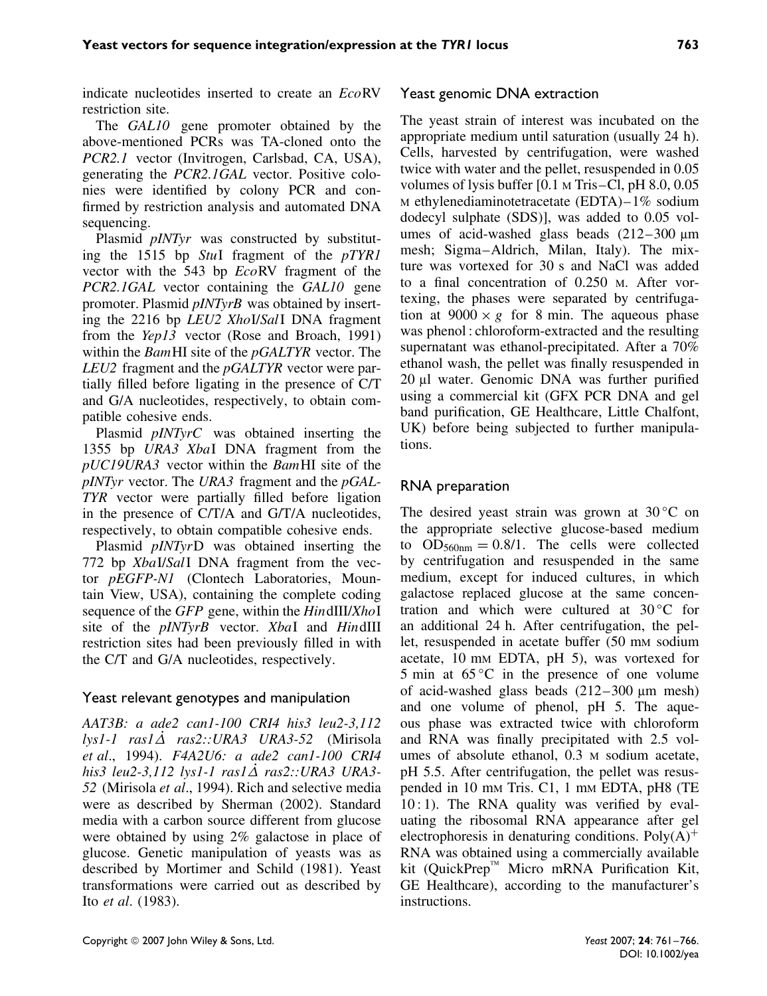indicate nucleotides inserted to create an *Eco*RV restriction site.

The *GAL10* gene promoter obtained by the above-mentioned PCRs was TA-cloned onto the *PCR2.1* vector (Invitrogen, Carlsbad, CA, USA), generating the *PCR2.1GAL* vector. Positive colonies were identified by colony PCR and confirmed by restriction analysis and automated DNA sequencing.

Plasmid *pINTyr* was constructed by substituting the 1515 bp *Stu*I fragment of the *pTYR1* vector with the 543 bp *Eco*RV fragment of the *PCR2.1GAL* vector containing the *GAL10* gene promoter. Plasmid *pINTyrB* was obtained by inserting the 2216 bp *LEU2 Xho*I/*Sal*I DNA fragment from the *Yep13* vector (Rose and Broach, 1991) within the *Bam*HI site of the *pGALTYR* vector. The *LEU2* fragment and the *pGALTYR* vector were partially filled before ligating in the presence of C/T and G/A nucleotides, respectively, to obtain compatible cohesive ends.

Plasmid *pINTyrC* was obtained inserting the 1355 bp *URA3 Xba*I DNA fragment from the *pUC19URA3* vector within the *Bam*HI site of the *pINTyr* vector. The *URA3* fragment and the *pGAL-TYR* vector were partially filled before ligation in the presence of C/T/A and G/T/A nucleotides, respectively, to obtain compatible cohesive ends.

Plasmid *pINTyr*D was obtained inserting the 772 bp *Xba*I/*Sal*I DNA fragment from the vector *pEGFP-N1* (Clontech Laboratories, Mountain View, USA), containing the complete coding sequence of the *GFP* gene, within the *Hin*dIII/*Xho*I site of the *pINTyrB* vector. *Xba*I and *Hin*dIII restriction sites had been previously filled in with the C/T and G/A nucleotides, respectively.

#### Yeast relevant genotypes and manipulation

*AAT3B: a ade2 can1-100 CRI4 his3 leu2-3,112 lys1-1 ras1∆*˙ *ras2::URA3 URA3-52* (Mirisola *et al*., 1994). *F4A2U6: a ade2 can1-100 CRI4 his3 leu2-3,112 lys1-1 ras1∆*˙ *ras2::URA3 URA3- 52* (Mirisola *et al*., 1994). Rich and selective media were as described by Sherman (2002). Standard media with a carbon source different from glucose were obtained by using 2% galactose in place of glucose. Genetic manipulation of yeasts was as described by Mortimer and Schild (1981). Yeast transformations were carried out as described by Ito *et al*. (1983).

#### Yeast genomic DNA extraction

The yeast strain of interest was incubated on the appropriate medium until saturation (usually 24 h). Cells, harvested by centrifugation, were washed twice with water and the pellet, resuspended in 0.05 volumes of lysis buffer [0.1 M Tris–Cl, pH 8.0, 0.05 M ethylenediaminotetracetate (EDTA)–1% sodium dodecyl sulphate (SDS)], was added to 0.05 volumes of acid-washed glass beads (212–300  $\mu$ m mesh; Sigma–Aldrich, Milan, Italy). The mixture was vortexed for 30 s and NaCl was added to a final concentration of 0.250 M. After vortexing, the phases were separated by centrifugation at  $9000 \times g$  for 8 min. The aqueous phase was phenol : chloroform-extracted and the resulting supernatant was ethanol-precipitated. After a 70% ethanol wash, the pellet was finally resuspended in 20 µl water. Genomic DNA was further purified using a commercial kit (GFX PCR DNA and gel band purification, GE Healthcare, Little Chalfont, UK) before being subjected to further manipulations.

### RNA preparation

The desired yeast strain was grown at  $30^{\circ}$ C on the appropriate selective glucose-based medium to  $OD_{560nm} = 0.8/1$ . The cells were collected by centrifugation and resuspended in the same medium, except for induced cultures, in which galactose replaced glucose at the same concentration and which were cultured at  $30^{\circ}$ C for an additional 24 h. After centrifugation, the pellet, resuspended in acetate buffer (50 mm sodium acetate, 10 mm EDTA, pH 5), was vortexed for 5 min at  $65^{\circ}$ C in the presence of one volume of acid-washed glass beads (212–300 µm mesh) and one volume of phenol, pH 5. The aqueous phase was extracted twice with chloroform and RNA was finally precipitated with 2.5 volumes of absolute ethanol, 0.3 M sodium acetate, pH 5.5. After centrifugation, the pellet was resuspended in 10 mm Tris. C1, 1 mm EDTA, pH8 (TE)  $10:1$ ). The RNA quality was verified by evaluating the ribosomal RNA appearance after gel electrophoresis in denaturing conditions.  $Poly(A)^+$ RNA was obtained using a commercially available kit (QuickPrep<sup> $M$ </sup> Micro mRNA Purification Kit, GE Healthcare), according to the manufacturer's instructions.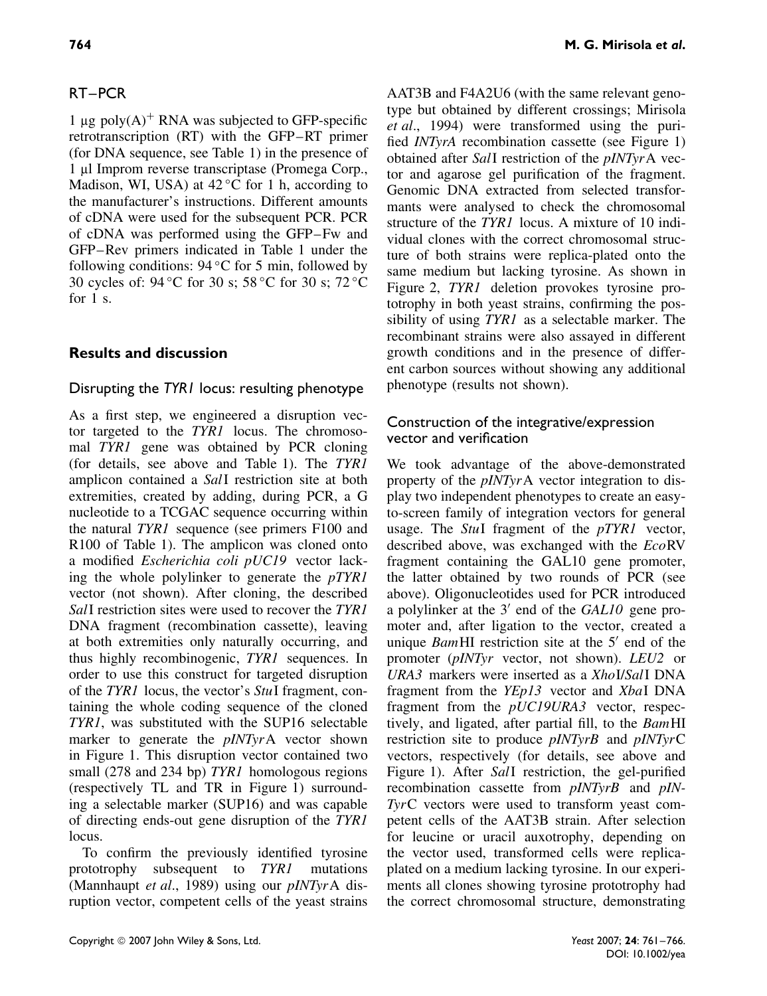#### RT–PCR

1  $\mu$ g poly(A)<sup>+</sup> RNA was subjected to GFP-specific retrotranscription (RT) with the GFP–RT primer (for DNA sequence, see Table 1) in the presence of 1 µl Improm reverse transcriptase (Promega Corp., Madison, WI, USA) at  $42^{\circ}$ C for 1 h, according to the manufacturer's instructions. Different amounts of cDNA were used for the subsequent PCR. PCR of cDNA was performed using the GFP–Fw and GFP–Rev primers indicated in Table 1 under the following conditions:  $94^{\circ}$ C for 5 min, followed by 30 cycles of: 94 ◦C for 30 s; 58 ◦C for 30 s; 72 ◦C for  $1 \text{ s}$ 

#### **Results and discussion**

#### Disrupting the *TYR1* locus: resulting phenotype

As a first step, we engineered a disruption vector targeted to the *TYR1* locus. The chromosomal *TYR1* gene was obtained by PCR cloning (for details, see above and Table 1). The *TYR1* amplicon contained a *Sal*I restriction site at both extremities, created by adding, during PCR, a G nucleotide to a TCGAC sequence occurring within the natural *TYR1* sequence (see primers F100 and R100 of Table 1). The amplicon was cloned onto a modified *Escherichia coli pUC19* vector lacking the whole polylinker to generate the *pTYR1* vector (not shown). After cloning, the described *Sal*I restriction sites were used to recover the *TYR1* DNA fragment (recombination cassette), leaving at both extremities only naturally occurring, and thus highly recombinogenic, *TYR1* sequences. In order to use this construct for targeted disruption of the *TYR1* locus, the vector's *Stu*I fragment, containing the whole coding sequence of the cloned *TYR1*, was substituted with the SUP16 selectable marker to generate the *pINTyr*A vector shown in Figure 1. This disruption vector contained two small (278 and 234 bp) *TYR1* homologous regions (respectively TL and TR in Figure 1) surrounding a selectable marker (SUP16) and was capable of directing ends-out gene disruption of the *TYR1* locus.

To confirm the previously identified tyrosine prototrophy subsequent to *TYR1* mutations (Mannhaupt *et al*., 1989) using our *pINTyr*A disruption vector, competent cells of the yeast strains AAT3B and F4A2U6 (with the same relevant genotype but obtained by different crossings; Mirisola *et al*., 1994) were transformed using the purified *INTyrA* recombination cassette (see Figure 1) obtained after *Sal*I restriction of the *pINTyr*A vector and agarose gel purification of the fragment. Genomic DNA extracted from selected transformants were analysed to check the chromosomal structure of the *TYR1* locus. A mixture of 10 individual clones with the correct chromosomal structure of both strains were replica-plated onto the same medium but lacking tyrosine. As shown in Figure 2, *TYR1* deletion provokes tyrosine prototrophy in both yeast strains, confirming the possibility of using *TYR1* as a selectable marker. The

recombinant strains were also assayed in different growth conditions and in the presence of different carbon sources without showing any additional phenotype (results not shown).

#### Construction of the integrative/expression vector and verification

We took advantage of the above-demonstrated property of the *pINTyr*A vector integration to display two independent phenotypes to create an easyto-screen family of integration vectors for general usage. The *Stu*I fragment of the *pTYR1* vector, described above, was exchanged with the *Eco*RV fragment containing the GAL10 gene promoter, the latter obtained by two rounds of PCR (see above). Oligonucleotides used for PCR introduced a polylinker at the 3' end of the *GAL10* gene promoter and, after ligation to the vector, created a unique *Bam*HI restriction site at the 5' end of the promoter (*pINTyr* vector, not shown). *LEU2* or *URA3* markers were inserted as a *Xho*I/*Sal*I DNA fragment from the *YEp13* vector and *Xba*I DNA fragment from the *pUC19URA3* vector, respectively, and ligated, after partial fill, to the *Bam*HI restriction site to produce *pINTyrB* and *pINTyr*C vectors, respectively (for details, see above and Figure 1). After *Sal*I restriction, the gel-purified recombination cassette from *pINTyrB* and *pIN-Tyr*C vectors were used to transform yeast competent cells of the AAT3B strain. After selection for leucine or uracil auxotrophy, depending on the vector used, transformed cells were replicaplated on a medium lacking tyrosine. In our experiments all clones showing tyrosine prototrophy had the correct chromosomal structure, demonstrating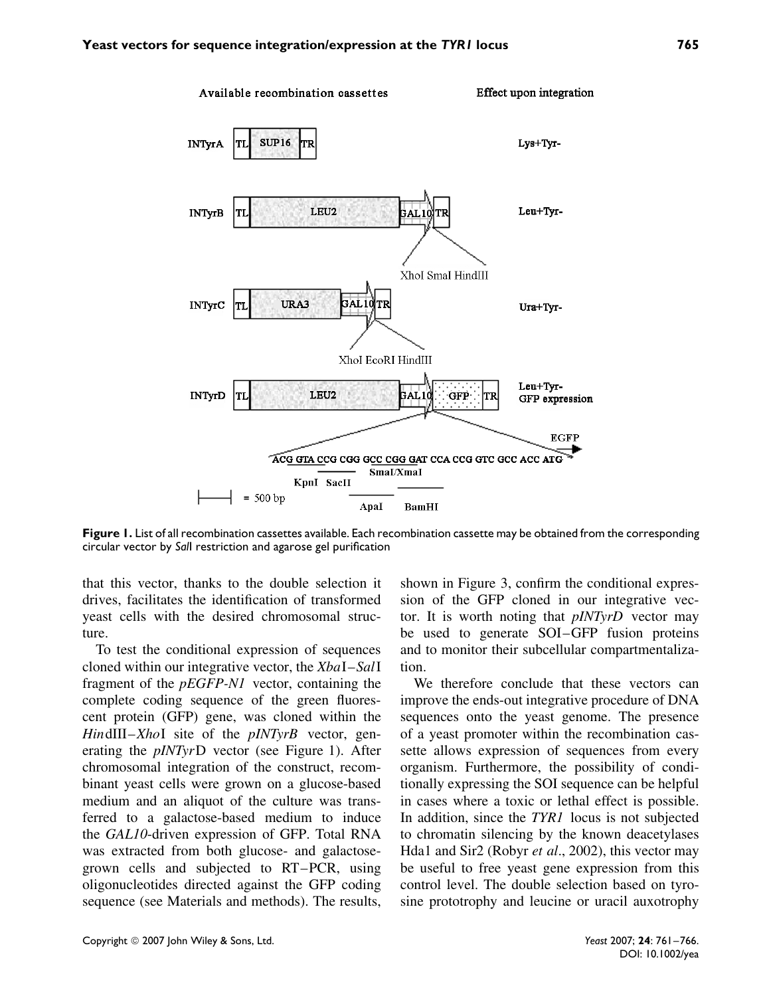

**Figure 1.** List of all recombination cassettes available. Each recombination cassette may be obtained from the corresponding circular vector by *Sal*I restriction and agarose gel purification

that this vector, thanks to the double selection it drives, facilitates the identification of transformed yeast cells with the desired chromosomal structure.

To test the conditional expression of sequences cloned within our integrative vector, the *Xba*I–*Sal*I fragment of the *pEGFP-N1* vector, containing the complete coding sequence of the green fluorescent protein (GFP) gene, was cloned within the *Hin*dIII–*Xho*I site of the *pINTyrB* vector, generating the *pINTyr*D vector (see Figure 1). After chromosomal integration of the construct, recombinant yeast cells were grown on a glucose-based medium and an aliquot of the culture was transferred to a galactose-based medium to induce the *GAL10*-driven expression of GFP. Total RNA was extracted from both glucose- and galactosegrown cells and subjected to RT–PCR, using oligonucleotides directed against the GFP coding sequence (see Materials and methods). The results,

shown in Figure 3, confirm the conditional expression of the GFP cloned in our integrative vector. It is worth noting that *pINTyrD* vector may be used to generate SOI–GFP fusion proteins and to monitor their subcellular compartmentalization.

We therefore conclude that these vectors can improve the ends-out integrative procedure of DNA sequences onto the yeast genome. The presence of a yeast promoter within the recombination cassette allows expression of sequences from every organism. Furthermore, the possibility of conditionally expressing the SOI sequence can be helpful in cases where a toxic or lethal effect is possible. In addition, since the *TYR1* locus is not subjected to chromatin silencing by the known deacetylases Hda1 and Sir2 (Robyr *et al*., 2002), this vector may be useful to free yeast gene expression from this control level. The double selection based on tyrosine prototrophy and leucine or uracil auxotrophy